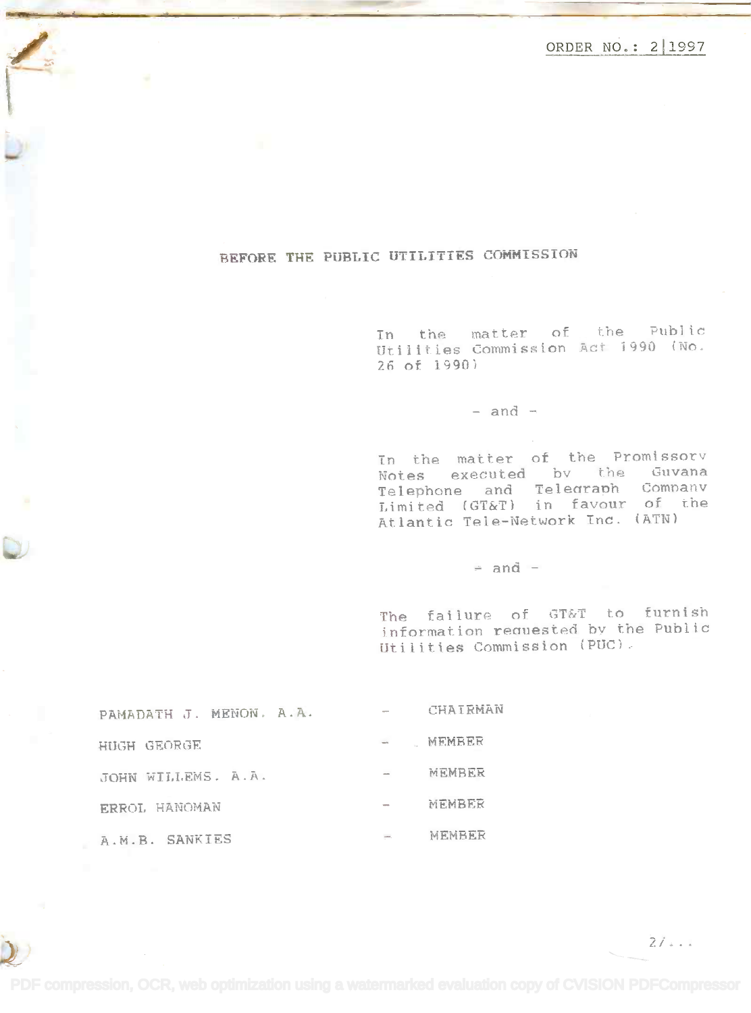ORDER NO.: 2 1997

# BEFORE THE PUBLIC UTILITIES COMMISSION

In the matter of the Public Utilities Commission Act 1990 (No. 26 of 1990)

### $-$  and  $-$

In the matter of the Promissory executed by the Guvana Notes Telephone and Telegraph Company Limited (GT&T) in favour of the Atlantic Tele-Network Inc. (ATN)

## $=$  and  $=$

The failure of GT&T to furnish information requested by the Public Utilities Commission (PUC).

| PAMADATH J. MENON. A.A. | <b>Service</b>           | CHAIRMAN |
|-------------------------|--------------------------|----------|
| HUGH GEORGE             | $\rightarrow$            | MEMBER   |
| JOHN WILLEMS. A.A.      | $\overline{\phantom{a}}$ | MEMBER   |
| ERROL HANOMAN           |                          | MEMBER   |
| A.M.B. SANKIES          | $\overline{\phantom{a}}$ | MEMBER   |

 $27...1$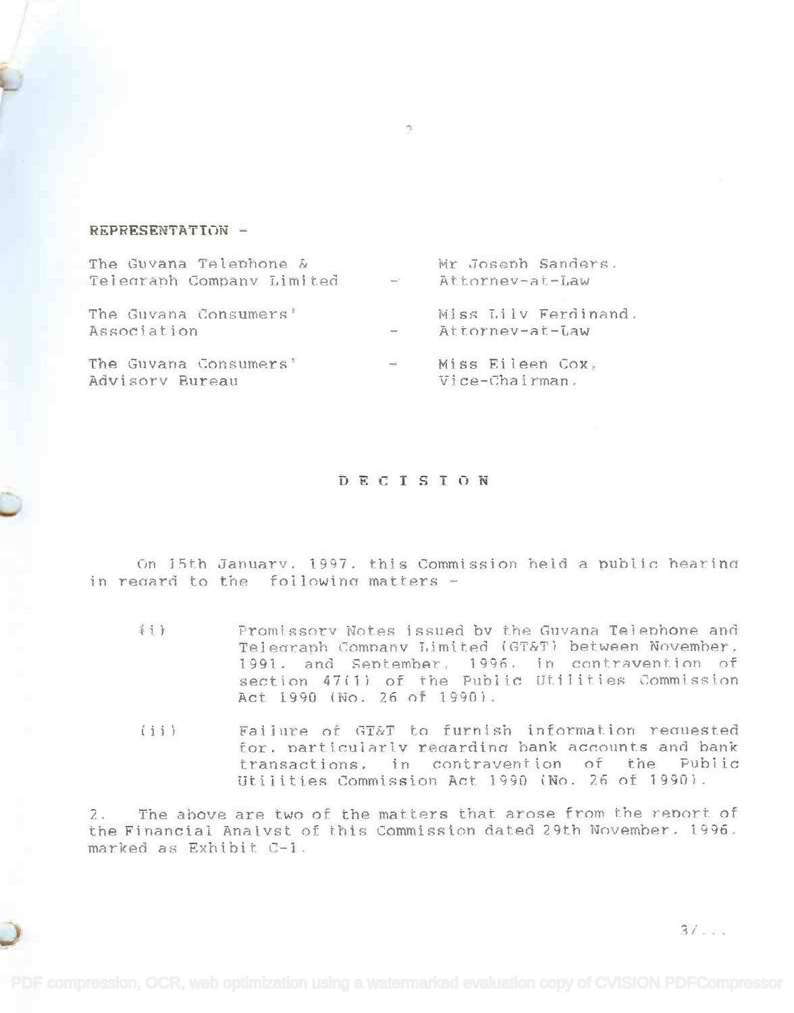### REPRESENTATION -

| The Guvana Telephone &<br>Telegraph Company Limited | $\mathcal{L}(\mathcal{L}^{\mathcal{L}})$ . | Mr Joseph Sanders.<br>Attorney-at-Law   |
|-----------------------------------------------------|--------------------------------------------|-----------------------------------------|
| The Guvana Consumers'<br>Association                | $\sim 10^{-10}$                            | Miss Lilv Ferdinand.<br>Attorney-at-Law |
| The Guvana Consumers'<br>Advisory Bureau            | $\sim 100$                                 | Miss Eileen Cox,<br>Vice-Chairman.      |

#### DECISION

On 15th January, 1997, this Commission held a public hearing in regard to the following matters -

- 不主子 Promissory Notes issued by the Guvana Telephone and Telegraph Company Limited (GT&T) between November. 1991, and Sentember, 1996, in contravention of section 47(1) of the Public Utilities Commission Act 1990 (No. 26 or 1990).
- $(i)$ Failure of GT&T to furnish information requested for, particularly regarding bank accounts and bank transactions, in contravention of the Public Utilities Commission Act 1990 (No. 26 of 1990).

The above are two of the matters that arose from the report of  $2.1$ the Financial Analyst of this Commission dated 29th November. 1996. marked as Exhibit C-1.

 $\gamma$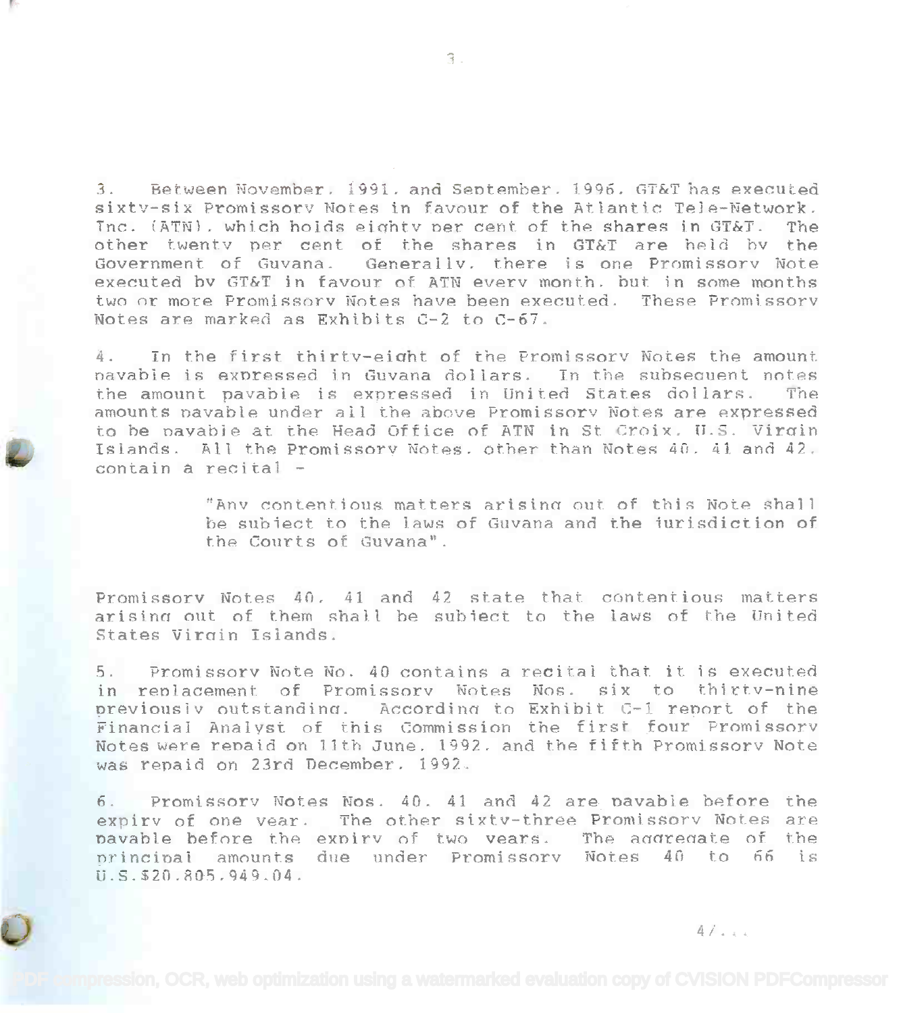3. Between November, 1991, and Sentember. 1996. GT&T has executed sixty-six Promissory Notes in favour of the Atlantic Tele-Network, sixty-six PromissorY Notes in favour of the Atlantic Tele-Network. Tnc. (ATN), which holds eighty per cent of the shares in GT&T. The other twenty per cent of the shares in GT&T are held by the otner twenty per cent of the snares in Giar are held by the<br>Government of Guvana. Generally, there is one Promissory Note executed by GT&T in favour of ATN every month. but in some months executed hv GT&T in favour of ATN every month. hut in some months two or more Promissory Notes have been executed. These Promissory Notes are marked as Exhibits C-2 to C-67. Notes are marked as Exhibits *C-2* to C-67.

4. In the first thirty-eight of the Promissory Notes the amount nayable is expressed in Guyana dollars. In the subsequent notes navahle is exnressed in Guvana dollars. In the subseauent notes the amount pavable is expressed in United States dollars. The the amount payable is expressed in united states dollars. The<br>amounts payable under all the above Promissory Notes are expressed to be navable at the Head Office of ATN in St Croix. U.S. Virgin Ts lands. All the Promissory Notes. other than Notes 40. 41 and 42, Islands. All the PromissorY Notes. other than Notes 40. 4] and 42. contain a recital contain a recital -

> "Anv contentious matters arising out of this Note shall be subject to the laws of Guvana and the iurisdiction of the Courts of Guyana". the Courts of Guvana".

Promis**sorv** Notes 40. 41 and 42 state that contentious matters eromissory notes 40, 41 and 42 state that contentious matters<br>arising out of them shall be subject to the laws of the United States Virain Islands. States Virain Islands.

5. Promissory Note No. 40 contains a recital that it is executed in replacement of Promissory Notes Nos. six to thirty-nine in renJacement of Promissory Notes Nos. six to thirty-nine previously outstanding. According to Exhibit C-1 report of the Financial Analyst of this Commission the first four Promissory Notes were renaid on 11th June. 1992. and the fifth Promissory Note Notes were renaid on 11th June. 1992. and the fifth Promissory Note was renaid on 23rd December, 1992. was renaid on 23rd December. 1992.

6. Promissory Notes Nos. 40. 41 and 42 are payable before the n. Promissory Notes Nos. 40. 41 and *4L* are navaDie before the expiry of one year. The other sixty-three Promissory Notes are payable before the expiry of two vears. The accrecate of the principal amounts due under Promissory Notes 40 to 66 is U.S.\$20.805,949.04. U.S.S20.ROS.Q4Q.04.

4/.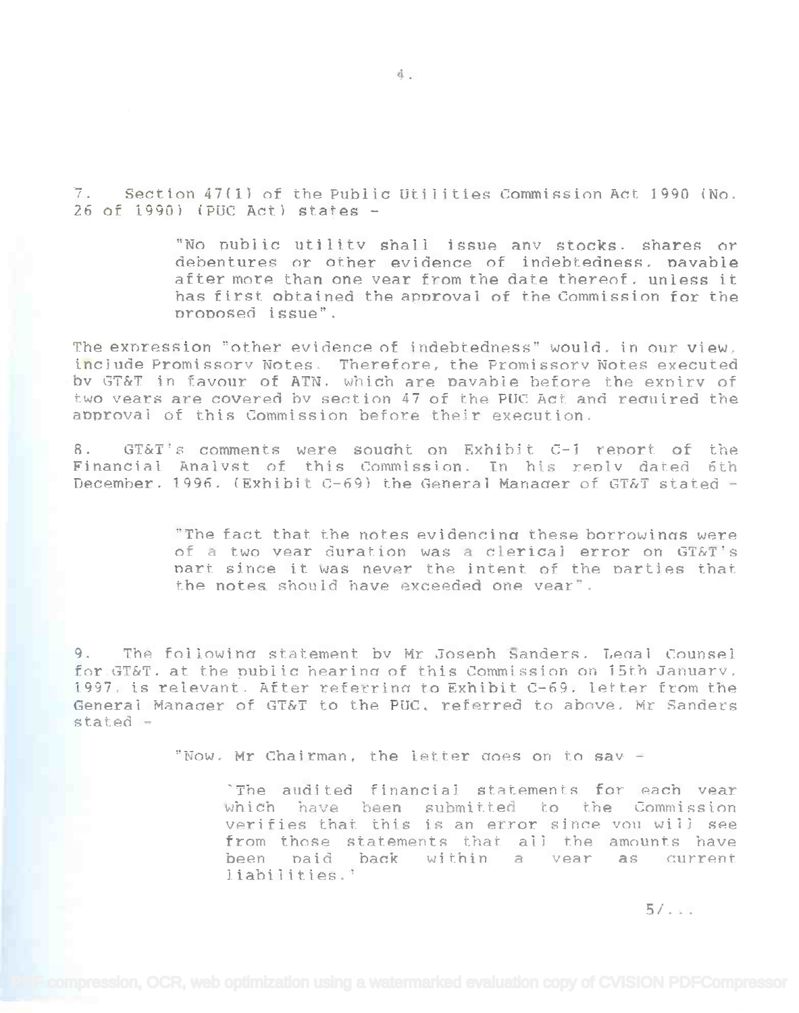7. Section 47(1) of the Public Utilities Commission Act 1990 (No. 26 of 1990) (PUC Act) states -

> "No nublic utility shall issue any stocks. shares or debentures or other evidence of indebtedness. navable after more than one vear from the date thereof. unless it has first obtained the approval of the Commission for the nronosed issue". nronosed issue".

The expression "other evidence of indebtedness" would, in our view, i<mark>n</mark>clude Promissory Notes. Therefore, the Promissory Notes executed bv GT&T in favour of ATN. which are pavable before the exnirv of two vears are covered by section 47 of the PUC Act and required the approval of this Commission before their execution.

8. GT&T's comments were sought on Exhibit C-1 report of the Financial Analvst of this Commission. In his reply dated 6th December. 1996. (Exhibit C-69) the General Manager of GT&T stated -

> "The fact that the notes evidencing these borrowings were "The fact that the notes evidencina tnese borrowinas were of a two year duration was a clerical error on GT&T's nart since it was never the intent of the narties that nart since it was never the intent of the narties that the notes should have exceeded one vear".

9. The following statement by Mr Joseph Sanders. Legal Counsel for GT&T. at the public hearing of this Commission on 15th January. 1997. is relevant. After referring to Exhibit C-69. letter from the 1997. is relevant. After reterrina to Exhibit C-69. letter from the General Manager of GT&T to the PUC. referred to above, Mr Sanders General Manaaer of GT&T to the PUC. referred to ahnve. Mr Sanders stated - stated -

"Now. Mr Chairman, the letter does on to say -

The audited financial statements for each vear which have been submitted to the Commission verifies that this is an error since you will see from those statements that all the amounts have been paid back within a vear as current liabilities.'

 $5/\ldots$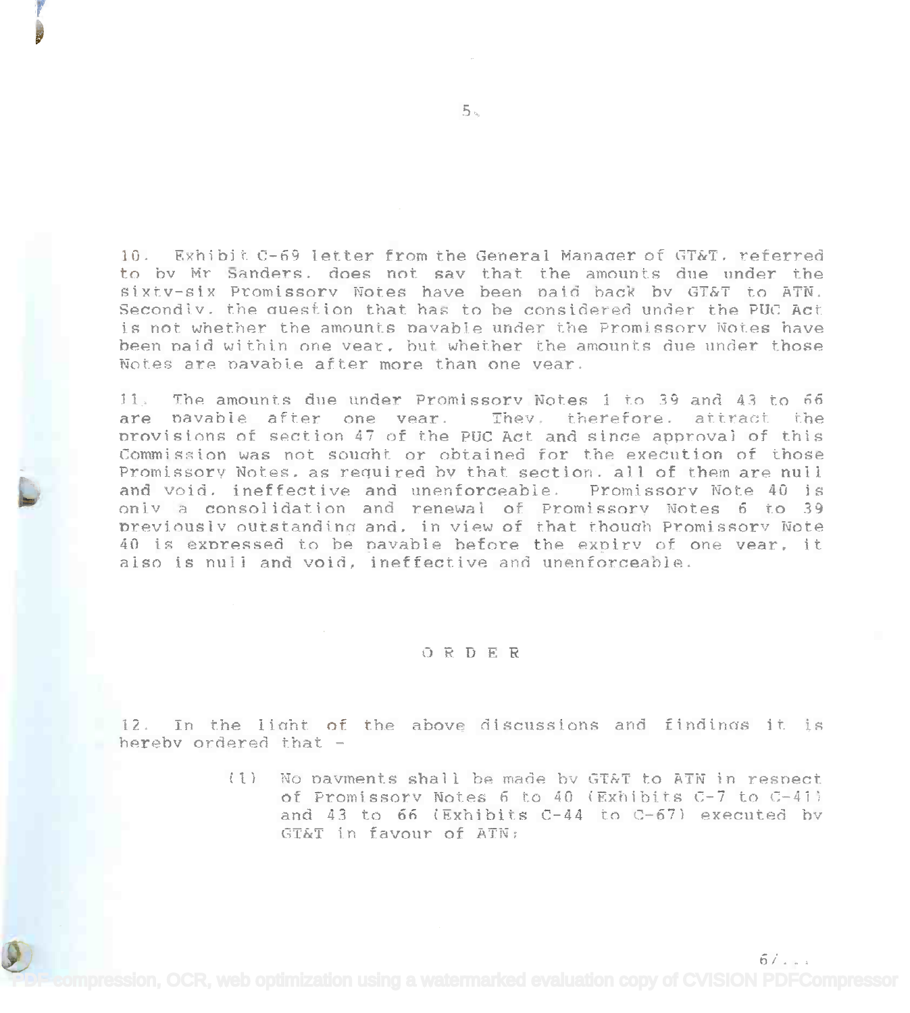10. Exhibit C-69 letter from the General Manager of GT&T, referred to by Mr Sanders, does not say that the amounts due under the sixtv-six Promissory Notes have been paid back by GT&T to ATN. Secondly, the question that has to be considered under the PUC Act is not whether the amounts payable under the Promissory Notes have been paid within one year, but whether the amounts due under those Notes are pavable after more than one year.

The amounts due under Promissory Notes 1 to 39 and 43 to 66  $11.$ are pavable after one year. They, therefore, attract the provisions of section 47 of the PUC Act and since approval of this Commission was not sought or obtained for the execution of those Promissory Notes, as required by that section, all of them are null and void, ineffective and unenforceable. Promissory Note 40 is only a consolidation and renewal of Promissory Notes 6 to 39 previously outstanding and, in view of that though Promissory Note 40 is expressed to be pavable before the expiry of one year, it also is null and void, ineffective and unenforceable.

#### ORDER

12. In the light of the above discussions and findings it is hereby ordered that -

> $(1)$ No payments shall be made by GT&T to ATN in respect of Promissory Notes 6 to 40 (Exhibits C-7 to C-41) and 43 to 66 (Exhibits  $C-44$  to  $C-67$ ) executed by GT&T in favour of ATN:

> > $61...$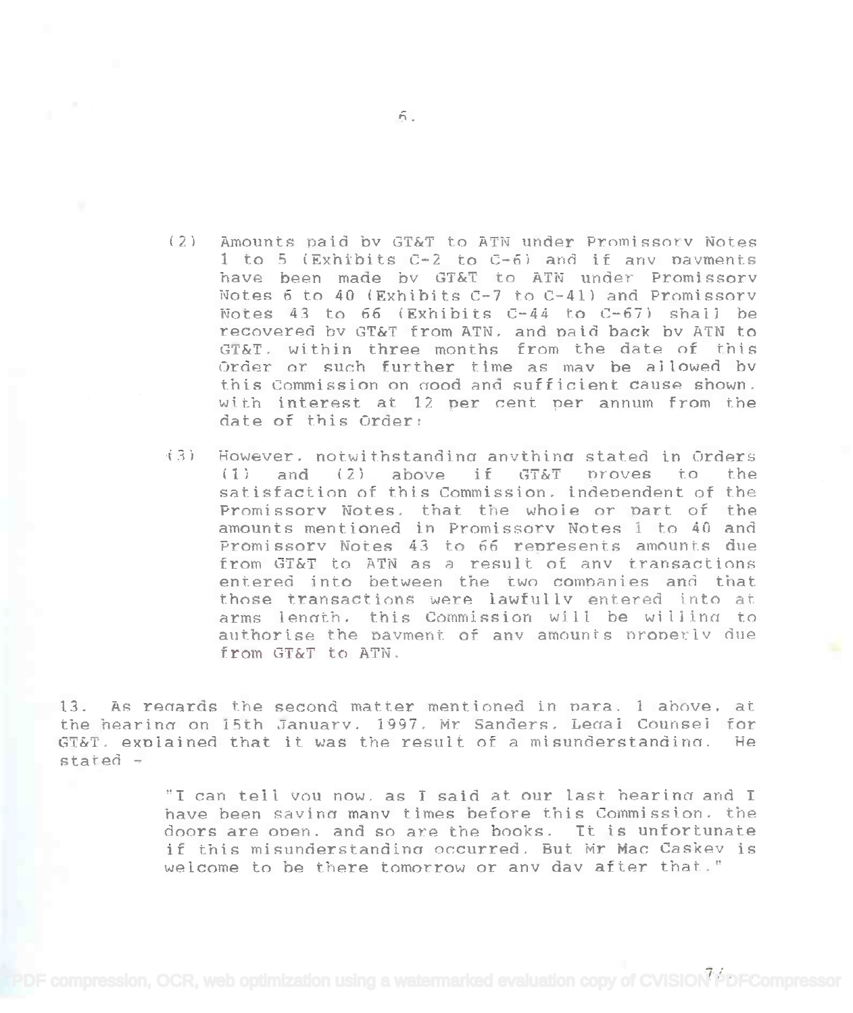- (2) Amounts paid by GT&T to ATN under Promissory Notes Amounts paid by Grar to Arm under Promissory Notes<br>1 to 5 (Exhibits C-2 to C-6) and if any payments have been made bv GT&T to ATN under Promissorv Notes 6 to 40 (Exhibits C-7 to C-411 and Promissory Notes 6 to 40 (Exhibits C-7 to C-4i) and Promissory Notes 43 to 66 (Exhibits C-44 to C-67) shall be recovered by GT&T from ATN. and paid back by ATN to GT&T. within three months from the date of this Order or such further time as may be allowed by this Commission on good and sufficient cause shown. with interest at 12 per cent per annum from the date of this Order: date of this Order:
- (31 However. notwithstandina anythina stated in Orders {3l However. notwithstandina anvthlncr stated in Orders  $(1)$  and  $(2)$  above if  $GTAT$  proves to the satisfaction of this Commission. independent of the satisfaction of this Commission. independent of the Promissory Notes, that the whole or part of the Promissory Notes, that the whole or part of the<br>amounts mentioned in Promissory Notes 1 to 40 and Promissory Notes 43 to 66 represents amounts due from GT&T to ATN as a result of any transactions entered into between the two companies and that those transactions were lawfully entered into at arms length. this Commission will be willing to authorise the payment of any amounts properly due from GT&T to ATN. from GT&T to ATN.

13. As regards the second matter mentioned in para. 1 above, at the hearing on 15th January. 1997. Mr Sanders. Legal Counsel for GT&T. explained that it was the result of a misunderstandina. He *GT&T.* explained that it was the result of a misunderstanolna. He stated - stated -

> "I can tell vou now, as I said at our last hearing and I have been savina many times before this Commission. the have been savincr many times before this Commission. the have been saving many eimes service enig sommission. The if this misunderstanding occurred. But Mr Mac Caskev is welcome to be there tomorrow or any day after that."

 $\tilde{n}$ .